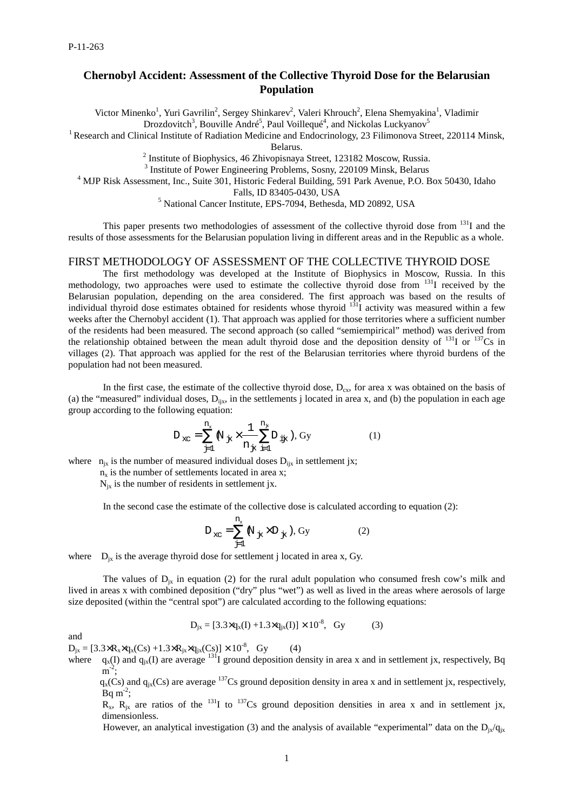# **Chernobyl Accident: Assessment of the Collective Thyroid Dose for the Belarusian Population**

Victor Minenko<sup>1</sup>, Yuri Gavrilin<sup>2</sup>, Sergey Shinkarev<sup>2</sup>, Valeri Khrouch<sup>2</sup>, Elena Shemyakina<sup>1</sup>, Vladimir Drozdovitch<sup>3</sup>, Bouville André<sup>5</sup>, Paul Voillequé<sup>4</sup>, and Nickolas Luckyanov<sup>5</sup>

<sup>1</sup> Research and Clinical Institute of Radiation Medicine and Endocrinology, 23 Filimonova Street, 220114 Minsk,

Belarus.

<sup>2</sup> Institute of Biophysics, 46 Zhivopisnaya Street, 123182 Moscow, Russia.

<sup>3</sup> Institute of Power Engineering Problems, Sosny, 220109 Minsk, Belarus

<sup>4</sup> MJP Risk Assessment, Inc., Suite 301, Historic Federal Building, 591 Park Avenue, P.O. Box 50430, Idaho

Falls, ID 83405-0430, USA

5 National Cancer Institute, EPS-7094, Bethesda, MD 20892, USA

This paper presents two methodologies of assessment of the collective thyroid dose from  $131$  and the results of those assessments for the Belarusian population living in different areas and in the Republic as a whole.

### FIRST METHODOLOGY OF ASSESSMENT OF THE COLLECTIVE THYROID DOSE

The first methodology was developed at the Institute of Biophysics in Moscow, Russia. In this methodology, two approaches were used to estimate the collective thyroid dose from <sup>131</sup>I received by the Belarusian population, depending on the area considered. The first approach was based on the results of individual thyroid dose estimates obtained for residents whose thyroid  $131<sub>1</sub>$  activity was measured within a few weeks after the Chernobyl accident (1). That approach was applied for those territories where a sufficient number of the residents had been measured. The second approach (so called "semiempirical" method) was derived from the relationship obtained between the mean adult thyroid dose and the deposition density of  $^{131}I$  or  $^{137}Cs$  in villages (2). That approach was applied for the rest of the Belarusian territories where thyroid burdens of the population had not been measured.

In the first case, the estimate of the collective thyroid dose,  $D_{ex}$ , for area x was obtained on the basis of (a) the "measured" individual doses,  $D_{iix}$ , in the settlements j located in area x, and (b) the population in each age group according to the following equation:

$$
D_{xc} = \sum_{j=1}^{n_x} N_{jk} \times \frac{1}{n_{jk}} \sum_{i=1}^{n_x} D_{ij} , Gy
$$
 (1)

where  $n_{ix}$  is the number of measured individual doses  $D_{iix}$  in settlement jx;

 $n<sub>x</sub>$  is the number of settlements located in area x;

 $N_{ix}$  is the number of residents in settlement jx.

In the second case the estimate of the collective dose is calculated according to equation (2):

$$
D_{\text{xc}} = \sum_{j=1}^{n_x} \mathbb{N}_{j_x} \times D_{j_x}, \text{Gy}
$$
 (2)

where  $D_{ix}$  is the average thyroid dose for settlement j located in area x, Gy.

The values of  $D_{i_x}$  in equation (2) for the rural adult population who consumed fresh cow's milk and lived in areas x with combined deposition ("dry" plus "wet") as well as lived in the areas where aerosols of large size deposited (within the "central spot") are calculated according to the following equations:

$$
D_{jx} = [3.3 \times q_x(I) + 1.3 \times q_{jx}(I)] \times 10^{-8}, \text{ Gy}
$$
 (3)

 $D_{jx} = [3.3 \times R_x \times q_x(Cs) + 1.3 \times R_{jx} \times q_{jx}(Cs)] \times 10^{-8}$ , Gy (4)

where  $q_x(I)$  and  $q_{ix}(I)$  are average <sup>131</sup>I ground deposition density in area x and in settlement jx, respectively, Bq  $\overline{m}^{-2}$ ;

 $q_x(Cs)$  and  $q_{ix}(Cs)$  are average <sup>137</sup>Cs ground deposition density in area x and in settlement jx, respectively, Bq  $m^{-2}$ ;

 $R_x$ ,  $R_y$  are ratios of the <sup>131</sup>I to <sup>137</sup>Cs ground deposition densities in area x and in settlement jx, dimensionless.

However, an analytical investigation (3) and the analysis of available "experimental" data on the  $D_{ix}/q_{ix}$ 

and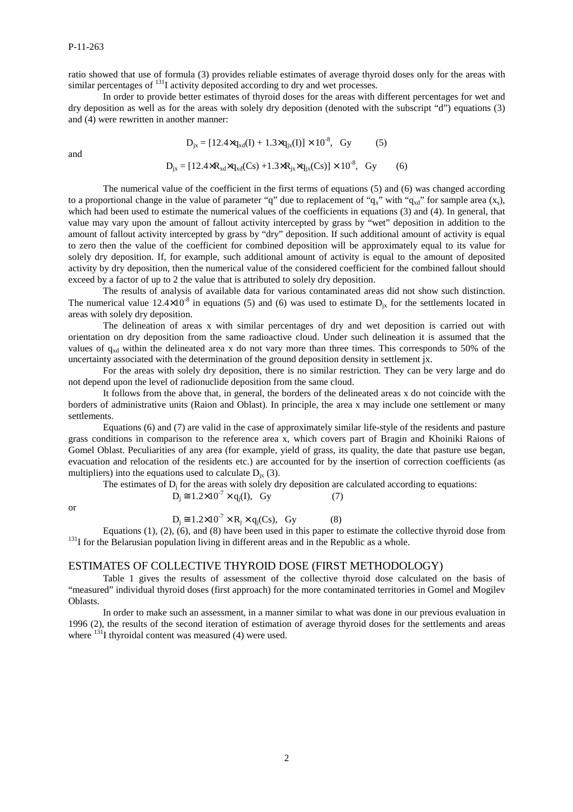ratio showed that use of formula (3) provides reliable estimates of average thyroid doses only for the areas with similar percentages of  $^{131}$ I activity deposited according to dry and wet processes.

In order to provide better estimates of thyroid doses for the areas with different percentages for wet and dry deposition as well as for the areas with solely dry deposition (denoted with the subscript "d") equations (3) and (4) were rewritten in another manner:

$$
D_{jx} = [12.4 \times q_{xd}(I) + 1.3 \times q_{jx}(I)] \times 10^{-8}, \text{ Gy}
$$
 (5)

and

$$
D_{ix} = [12.4 \times R_{xd} \times q_{xd}(Cs) + 1.3 \times R_{ix} \times q_{ix}(Cs)] \times 10^{-8}, \text{ Gy} \tag{6}
$$

The numerical value of the coefficient in the first terms of equations (5) and (6) was changed according to a proportional change in the value of parameter "q" due to replacement of " $q_x$ " with " $q_{xd}$ " for sample area  $(x_s)$ , which had been used to estimate the numerical values of the coefficients in equations (3) and (4). In general, that value may vary upon the amount of fallout activity intercepted by grass by "wet" deposition in addition to the amount of fallout activity intercepted by grass by "dry" deposition. If such additional amount of activity is equal to zero then the value of the coefficient for combined deposition will be approximately equal to its value for solely dry deposition. If, for example, such additional amount of activity is equal to the amount of deposited activity by dry deposition, then the numerical value of the considered coefficient for the combined fallout should exceed by a factor of up to 2 the value that is attributed to solely dry deposition.

The results of analysis of available data for various contaminated areas did not show such distinction. The numerical value  $12.4\times10^{-8}$  in equations (5) and (6) was used to estimate D<sub>iv</sub> for the settlements located in areas with solely dry deposition.

The delineation of areas x with similar percentages of dry and wet deposition is carried out with orientation on dry deposition from the same radioactive cloud. Under such delineation it is assumed that the values of  $q_{xd}$  within the delineated area x do not vary more than three times. This corresponds to 50% of the uncertainty associated with the determination of the ground deposition density in settlement jx.

For the areas with solely dry deposition, there is no similar restriction. They can be very large and do not depend upon the level of radionuclide deposition from the same cloud.

It follows from the above that, in general, the borders of the delineated areas x do not coincide with the borders of administrative units (Raion and Oblast). In principle, the area x may include one settlement or many settlements.

Equations (6) and (7) are valid in the case of approximately similar life-style of the residents and pasture grass conditions in comparison to the reference area x, which covers part of Bragin and Khoiniki Raions of Gomel Oblast. Peculiarities of any area (for example, yield of grass, its quality, the date that pasture use began, evacuation and relocation of the residents etc.) are accounted for by the insertion of correction coefficients (as multipliers) into the equations used to calculate  $D_{ix}$  (3).

The estimates of  $D_i$  for the areas with solely dry deposition are calculated according to equations:  $D_i \approx 1.2 \times 10^{-7} \times q_i(I)$ , Gy (7)

or

$$
D_i \cong 1.2 \times 10^{-7} \times R_i \times q_i(Cs), \quad Gy \tag{8}
$$

Equations  $(1)$ ,  $(2)$ ,  $(6)$ , and  $(8)$  have been used in this paper to estimate the collective thyroid dose from  $131$  for the Belarusian population living in different areas and in the Republic as a whole.

### ESTIMATES OF COLLECTIVE THYROID DOSE (FIRST METHODOLOGY)

Table 1 gives the results of assessment of the collective thyroid dose calculated on the basis of "measured" individual thyroid doses (first approach) for the more contaminated territories in Gomel and Mogilev Oblasts.

In order to make such an assessment, in a manner similar to what was done in our previous evaluation in 1996 (2), the results of the second iteration of estimation of average thyroid doses for the settlements and areas where  $^{131}$ I thyroidal content was measured (4) were used.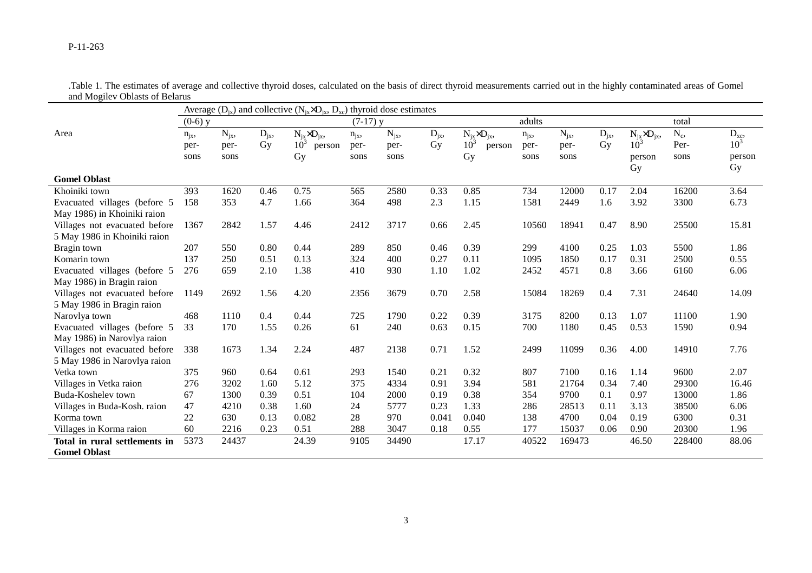|                               | Average $(D_{ix})$ and collective $(N_{ix} \times D_{ix}, D_{xc})$ thyroid dose estimates |          |          |                           |            |          |          |                           |          |          |          |                        |        |                 |
|-------------------------------|-------------------------------------------------------------------------------------------|----------|----------|---------------------------|------------|----------|----------|---------------------------|----------|----------|----------|------------------------|--------|-----------------|
|                               | $(0-6)$ y                                                                                 |          |          |                           | $(7-17)$ y |          |          |                           | adults   |          |          |                        | total  |                 |
| Area                          | $n_{jx}$                                                                                  | $N_{ix}$ | $D_{jx}$ | $N_{ix} \times D_{ix}$    | $n_{ix}$   | $N_{ix}$ | $D_{jx}$ | $N_{ix} \times D_{ix}$    | $n_{ix}$ | $N_{jx}$ | $D_{jx}$ | $N_{ix} \times D_{ix}$ | $N_c$  | $D_{xc}$        |
|                               | per-                                                                                      | per-     | Gy       | 10 <sup>3</sup><br>person | per-       | per-     | Gy       | 10 <sup>3</sup><br>person | per-     | per-     | Gy       | $10^3$                 | Per-   | 10 <sup>3</sup> |
|                               | sons                                                                                      | sons     |          | Gy                        | sons       | sons     |          | Gy                        | sons     | sons     |          | person                 | sons   | person          |
|                               |                                                                                           |          |          |                           |            |          |          |                           |          |          |          | Gy                     |        | Gy              |
| <b>Gomel Oblast</b>           |                                                                                           |          |          |                           |            |          |          |                           |          |          |          |                        |        |                 |
| Khoiniki town                 | 393                                                                                       | 1620     | 0.46     | 0.75                      | 565        | 2580     | 0.33     | 0.85                      | 734      | 12000    | 0.17     | 2.04                   | 16200  | 3.64            |
| Evacuated villages (before 5  | 158                                                                                       | 353      | 4.7      | 1.66                      | 364        | 498      | 2.3      | 1.15                      | 1581     | 2449     | 1.6      | 3.92                   | 3300   | 6.73            |
| May 1986) in Khoiniki raion   |                                                                                           |          |          |                           |            |          |          |                           |          |          |          |                        |        |                 |
| Villages not evacuated before | 1367                                                                                      | 2842     | 1.57     | 4.46                      | 2412       | 3717     | 0.66     | 2.45                      | 10560    | 18941    | 0.47     | 8.90                   | 25500  | 15.81           |
| 5 May 1986 in Khoiniki raion  |                                                                                           |          |          |                           |            |          |          |                           |          |          |          |                        |        |                 |
| Bragin town                   | 207                                                                                       | 550      | 0.80     | 0.44                      | 289        | 850      | 0.46     | 0.39                      | 299      | 4100     | 0.25     | 1.03                   | 5500   | 1.86            |
| Komarin town                  | 137                                                                                       | 250      | 0.51     | 0.13                      | 324        | 400      | 0.27     | 0.11                      | 1095     | 1850     | 0.17     | 0.31                   | 2500   | 0.55            |
| Evacuated villages (before 5  | 276                                                                                       | 659      | 2.10     | 1.38                      | 410        | 930      | 1.10     | 1.02                      | 2452     | 4571     | 0.8      | 3.66                   | 6160   | 6.06            |
| May 1986) in Bragin raion     |                                                                                           |          |          |                           |            |          |          |                           |          |          |          |                        |        |                 |
| Villages not evacuated before | 1149                                                                                      | 2692     | 1.56     | 4.20                      | 2356       | 3679     | 0.70     | 2.58                      | 15084    | 18269    | 0.4      | 7.31                   | 24640  | 14.09           |
| 5 May 1986 in Bragin raion    |                                                                                           |          |          |                           |            |          |          |                           |          |          |          |                        |        |                 |
| Narovlya town                 | 468                                                                                       | 1110     | 0.4      | 0.44                      | 725        | 1790     | 0.22     | 0.39                      | 3175     | 8200     | 0.13     | 1.07                   | 11100  | 1.90            |
| Evacuated villages (before 5  | 33                                                                                        | 170      | 1.55     | 0.26                      | 61         | 240      | 0.63     | 0.15                      | 700      | 1180     | 0.45     | 0.53                   | 1590   | 0.94            |
| May 1986) in Narovlya raion   |                                                                                           |          |          |                           |            |          |          |                           |          |          |          |                        |        |                 |
| Villages not evacuated before | 338                                                                                       | 1673     | 1.34     | 2.24                      | 487        | 2138     | 0.71     | 1.52                      | 2499     | 11099    | 0.36     | 4.00                   | 14910  | 7.76            |
| 5 May 1986 in Narovlya raion  |                                                                                           |          |          |                           |            |          |          |                           |          |          |          |                        |        |                 |
| Vetka town                    | 375                                                                                       | 960      | 0.64     | 0.61                      | 293        | 1540     | 0.21     | 0.32                      | 807      | 7100     | 0.16     | 1.14                   | 9600   | 2.07            |
| Villages in Vetka raion       | 276                                                                                       | 3202     | 1.60     | 5.12                      | 375        | 4334     | 0.91     | 3.94                      | 581      | 21764    | 0.34     | 7.40                   | 29300  | 16.46           |
| Buda-Koshelev town            | 67                                                                                        | 1300     | 0.39     | 0.51                      | 104        | 2000     | 0.19     | 0.38                      | 354      | 9700     | 0.1      | 0.97                   | 13000  | 1.86            |
| Villages in Buda-Kosh. raion  | 47                                                                                        | 4210     | 0.38     | 1.60                      | 24         | 5777     | 0.23     | 1.33                      | 286      | 28513    | 0.11     | 3.13                   | 38500  | 6.06            |
| Korma town                    | 22                                                                                        | 630      | 0.13     | 0.082                     | 28         | 970      | 0.041    | 0.040                     | 138      | 4700     | 0.04     | 0.19                   | 6300   | 0.31            |
| Villages in Korma raion       | 60                                                                                        | 2216     | 0.23     | 0.51                      | 288        | 3047     | 0.18     | 0.55                      | 177      | 15037    | 0.06     | 0.90                   | 20300  | 1.96            |
| Total in rural settlements in | 5373                                                                                      | 24437    |          | 24.39                     | 9105       | 34490    |          | 17.17                     | 40522    | 169473   |          | 46.50                  | 228400 | 88.06           |
| <b>Gomel Oblast</b>           |                                                                                           |          |          |                           |            |          |          |                           |          |          |          |                        |        |                 |

.Table 1. The estimates of average and collective thyroid doses, calculated on the basis of direct thyroid measurements carried out in the highly contaminated areas of Gomel and Mogilev Oblasts of Belarus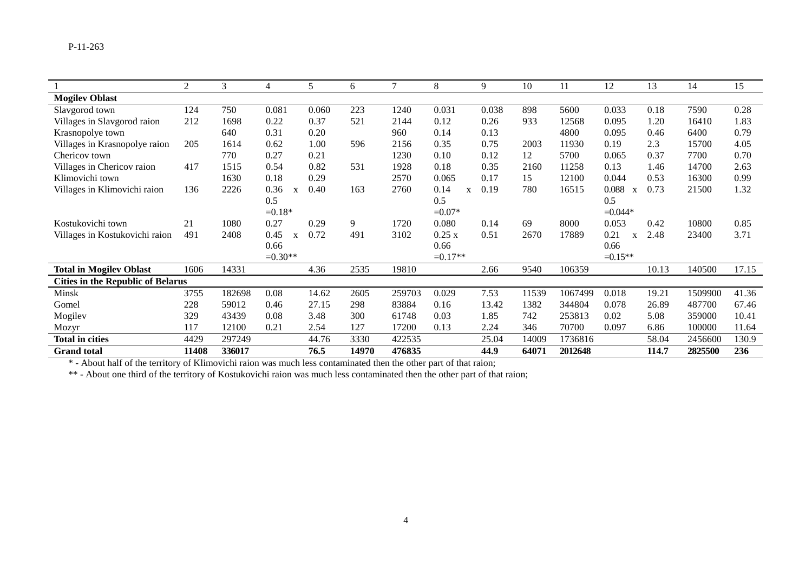|                                          | $\overline{2}$ | 3      |           | 5     | 6     | $\mathcal{I}$ | 8         | 9     | 10    | 11      | 12         | 13    | 14      | 15    |
|------------------------------------------|----------------|--------|-----------|-------|-------|---------------|-----------|-------|-------|---------|------------|-------|---------|-------|
| <b>Mogilev Oblast</b>                    |                |        |           |       |       |               |           |       |       |         |            |       |         |       |
| Slavgorod town                           | 124            | 750    | 0.081     | 0.060 | 223   | 1240          | 0.031     | 0.038 | 898   | 5600    | 0.033      | 0.18  | 7590    | 0.28  |
| Villages in Slavgorod raion              | 212            | 1698   | 0.22      | 0.37  | 521   | 2144          | 0.12      | 0.26  | 933   | 12568   | 0.095      | 1.20  | 16410   | 1.83  |
| Krasnopolye town                         |                | 640    | 0.31      | 0.20  |       | 960           | 0.14      | 0.13  |       | 4800    | 0.095      | 0.46  | 6400    | 0.79  |
| Villages in Krasnopolye raion            | 205            | 1614   | 0.62      | 1.00  | 596   | 2156          | 0.35      | 0.75  | 2003  | 11930   | 0.19       | 2.3   | 15700   | 4.05  |
| Chericov town                            |                | 770    | 0.27      | 0.21  |       | 1230          | 0.10      | 0.12  | 12    | 5700    | 0.065      | 0.37  | 7700    | 0.70  |
| Villages in Chericov raion               | 417            | 1515   | 0.54      | 0.82  | 531   | 1928          | 0.18      | 0.35  | 2160  | 11258   | 0.13       | 1.46  | 14700   | 2.63  |
| Klimovichi town                          |                | 1630   | 0.18      | 0.29  |       | 2570          | 0.065     | 0.17  | 15    | 12100   | 0.044      | 0.53  | 16300   | 0.99  |
| Villages in Klimovichi raion             | 136            | 2226   | 0.36<br>X | 0.40  | 163   | 2760          | 0.14<br>X | 0.19  | 780   | 16515   | 0.088<br>X | 0.73  | 21500   | 1.32  |
|                                          |                |        | 0.5       |       |       |               | 0.5       |       |       |         | 0.5        |       |         |       |
|                                          |                |        | $=0.18*$  |       |       |               | $=0.07*$  |       |       |         | $=0.044*$  |       |         |       |
| Kostukovichi town                        | 21             | 1080   | 0.27      | 0.29  | 9     | 1720          | 0.080     | 0.14  | 69    | 8000    | 0.053      | 0.42  | 10800   | 0.85  |
| Villages in Kostukovichi raion           | 491            | 2408   | 0.45<br>X | 0.72  | 491   | 3102          | 0.25x     | 0.51  | 2670  | 17889   | 0.21<br>X  | 2.48  | 23400   | 3.71  |
|                                          |                |        | 0.66      |       |       |               | 0.66      |       |       |         | 0.66       |       |         |       |
|                                          |                |        | $=0.30**$ |       |       |               | $=0.17**$ |       |       |         | $=0.15**$  |       |         |       |
| <b>Total in Mogilev Oblast</b>           | 1606           | 14331  |           | 4.36  | 2535  | 19810         |           | 2.66  | 9540  | 106359  |            | 10.13 | 140500  | 17.15 |
| <b>Cities in the Republic of Belarus</b> |                |        |           |       |       |               |           |       |       |         |            |       |         |       |
| Minsk                                    | 3755           | 182698 | 0.08      | 14.62 | 2605  | 259703        | 0.029     | 7.53  | 11539 | 1067499 | 0.018      | 19.21 | 1509900 | 41.36 |
| Gomel                                    | 228            | 59012  | 0.46      | 27.15 | 298   | 83884         | 0.16      | 13.42 | 1382  | 344804  | 0.078      | 26.89 | 487700  | 67.46 |
| Mogilev                                  | 329            | 43439  | 0.08      | 3.48  | 300   | 61748         | 0.03      | 1.85  | 742   | 253813  | 0.02       | 5.08  | 359000  | 10.41 |
| Mozyr                                    | 117            | 12100  | 0.21      | 2.54  | 127   | 17200         | 0.13      | 2.24  | 346   | 70700   | 0.097      | 6.86  | 100000  | 11.64 |
| <b>Total in cities</b>                   | 4429           | 297249 |           | 44.76 | 3330  | 422535        |           | 25.04 | 14009 | 1736816 |            | 58.04 | 2456600 | 130.9 |
| <b>Grand</b> total                       | 11408          | 336017 |           | 76.5  | 14970 | 476835        |           | 44.9  | 64071 | 2012648 |            | 114.7 | 2825500 | 236   |

\* - About half of the territory of Klimovichi raion was much less contaminated then the other part of that raion;

\*\* - About one third of the territory of Kostukovichi raion was much less contaminated then the other part of that raion;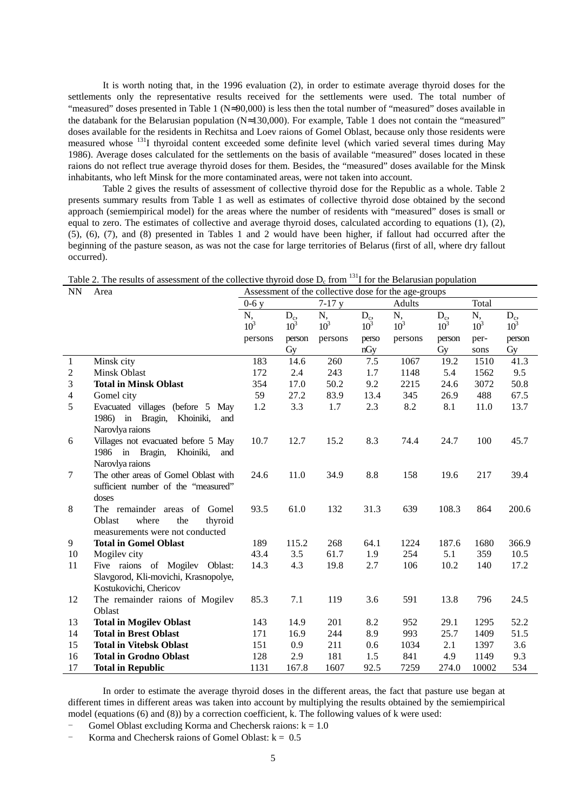It is worth noting that, in the 1996 evaluation (2), in order to estimate average thyroid doses for the settlements only the representative results received for the settlements were used. The total number of "measured" doses presented in Table 1 (N≈90,000) is less then the total number of "measured" doses available in the databank for the Belarusian population (N≈130,000). For example, Table 1 does not contain the "measured" doses available for the residents in Rechitsa and Loev raions of Gomel Oblast, because only those residents were measured whose 131I thyroidal content exceeded some definite level (which varied several times during May 1986). Average doses calculated for the settlements on the basis of available "measured" doses located in these raions do not reflect true average thyroid doses for them. Besides, the "measured" doses available for the Minsk inhabitants, who left Minsk for the more contaminated areas, were not taken into account.

Table 2 gives the results of assessment of collective thyroid dose for the Republic as a whole. Table 2 presents summary results from Table 1 as well as estimates of collective thyroid dose obtained by the second approach (semiempirical model) for the areas where the number of residents with "measured" doses is small or equal to zero. The estimates of collective and average thyroid doses, calculated according to equations (1), (2), (5), (6), (7), and (8) presented in Tables 1 and 2 would have been higher, if fallout had occurred after the beginning of the pasture season, as was not the case for large territories of Belarus (first of all, where dry fallout occurred).

Table 2. The results of assessment of the collective thyroid dose  $D<sub>e</sub>$  from <sup>131</sup>I for the Belarusian population

| <b>NN</b>      | Area                                                                                                 | There is the results of assessment of the concentre theory begin only from the beat asian population<br>Assessment of the collective dose for the age-groups |                   |              |                   |              |                   |              |                   |  |  |
|----------------|------------------------------------------------------------------------------------------------------|--------------------------------------------------------------------------------------------------------------------------------------------------------------|-------------------|--------------|-------------------|--------------|-------------------|--------------|-------------------|--|--|
|                |                                                                                                      | $0-6y$                                                                                                                                                       |                   | $7-17y$      |                   | Adults       |                   | Total        |                   |  |  |
|                |                                                                                                      | N,<br>$10^3$                                                                                                                                                 | $D_c$ ,<br>$10^3$ | N,<br>$10^3$ | $D_c$ ,<br>$10^3$ | N,<br>$10^3$ | $D_c$ ,<br>$10^3$ | N,<br>$10^3$ | $D_c$ ,<br>$10^3$ |  |  |
|                |                                                                                                      | persons                                                                                                                                                      | person            | persons      | perso             | persons      | person            | per-         | person            |  |  |
|                |                                                                                                      |                                                                                                                                                              | Gy                |              | nGy               |              | Gy                | sons         | Gy                |  |  |
| 1              | Minsk city                                                                                           | 183                                                                                                                                                          | 14.6              | 260          | 7.5               | 1067         | 19.2              | 1510         | 41.3              |  |  |
| $\overline{2}$ | Minsk Oblast                                                                                         | 172                                                                                                                                                          | 2.4               | 243          | 1.7               | 1148         | 5.4               | 1562         | 9.5               |  |  |
| 3              | <b>Total in Minsk Oblast</b>                                                                         | 354                                                                                                                                                          | 17.0              | 50.2         | 9.2               | 2215         | 24.6              | 3072         | 50.8              |  |  |
| $\overline{4}$ | Gomel city                                                                                           | 59                                                                                                                                                           | 27.2              | 83.9         | 13.4              | 345          | 26.9              | 488          | 67.5              |  |  |
| 5              | Evacuated villages (before 5 May<br>1986) in Bragin, Khoiniki,<br>and<br>Narovlya raions             | 1.2                                                                                                                                                          | 3.3               | 1.7          | 2.3               | 8.2          | 8.1               | 11.0         | 13.7              |  |  |
| 6              | Villages not evacuated before 5 May<br>1986 in Bragin,<br>Khoiniki,<br>and<br>Narovlya raions        | 10.7                                                                                                                                                         | 12.7              | 15.2         | 8.3               | 74.4         | 24.7              | 100          | 45.7              |  |  |
| 7              | The other areas of Gomel Oblast with<br>sufficient number of the "measured"<br>doses                 | 24.6                                                                                                                                                         | 11.0              | 34.9         | 8.8               | 158          | 19.6              | 217          | 39.4              |  |  |
| 8              | The remainder areas of Gomel<br>where<br>Oblast<br>the<br>thyroid<br>measurements were not conducted | 93.5                                                                                                                                                         | 61.0              | 132          | 31.3              | 639          | 108.3             | 864          | 200.6             |  |  |
| 9              | <b>Total in Gomel Oblast</b>                                                                         | 189                                                                                                                                                          | 115.2             | 268          | 64.1              | 1224         | 187.6             | 1680         | 366.9             |  |  |
| 10             | Mogilev city                                                                                         | 43.4                                                                                                                                                         | 3.5               | 61.7         | 1.9               | 254          | 5.1               | 359          | 10.5              |  |  |
| 11             | Five raions of Mogilev Oblast:<br>Slavgorod, Kli-movichi, Krasnopolye,<br>Kostukovichi, Chericov     | 14.3                                                                                                                                                         | 4.3               | 19.8         | 2.7               | 106          | 10.2              | 140          | 17.2              |  |  |
| 12             | The remainder raions of Mogilev<br>Oblast                                                            | 85.3                                                                                                                                                         | 7.1               | 119          | 3.6               | 591          | 13.8              | 796          | 24.5              |  |  |
| 13             | <b>Total in Mogilev Oblast</b>                                                                       | 143                                                                                                                                                          | 14.9              | 201          | 8.2               | 952          | 29.1              | 1295         | 52.2              |  |  |
| 14             | <b>Total in Brest Oblast</b>                                                                         | 171                                                                                                                                                          | 16.9              | 244          | 8.9               | 993          | 25.7              | 1409         | 51.5              |  |  |
| 15             | <b>Total in Vitebsk Oblast</b>                                                                       | 151                                                                                                                                                          | 0.9               | 211          | 0.6               | 1034         | 2.1               | 1397         | 3.6               |  |  |
| 16             | <b>Total in Grodno Oblast</b>                                                                        | 128                                                                                                                                                          | 2.9               | 181          | 1.5               | 841          | 4.9               | 1149         | 9.3               |  |  |
| 17             | <b>Total in Republic</b>                                                                             | 1131                                                                                                                                                         | 167.8             | 1607         | 92.5              | 7259         | 274.0             | 10002        | 534               |  |  |

In order to estimate the average thyroid doses in the different areas, the fact that pasture use began at different times in different areas was taken into account by multiplying the results obtained by the semiempirical model (equations (6) and (8)) by a correction coefficient, k. The following values of k were used:

Gomel Oblast excluding Korma and Chechersk raions:  $k = 1.0$ 

Korma and Chechersk raions of Gomel Oblast:  $k = 0.5$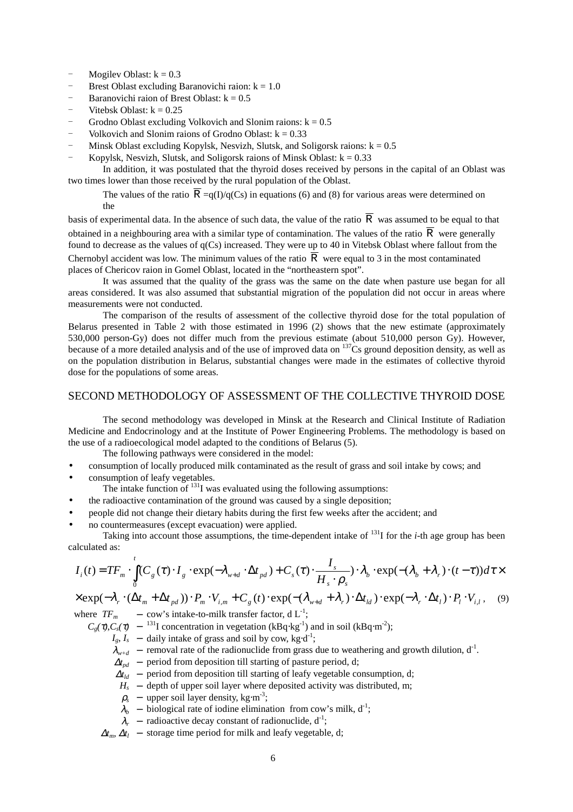- Mogilev Oblast:  $k = 0.3$
- Brest Oblast excluding Baranovichi raion:  $k = 1.0$
- Baranovichi raion of Brest Oblast:  $k = 0.5$
- Vitebsk Oblast:  $k = 0.25$
- Grodno Oblast excluding Volkovich and Slonim raions:  $k = 0.5$
- Volkovich and Slonim raions of Grodno Oblast:  $k = 0.33$
- Minsk Oblast excluding Kopylsk, Nesvizh, Slutsk, and Soligorsk raions:  $k = 0.5$
- Kopylsk, Nesvizh, Slutsk, and Soligorsk raions of Minsk Oblast:  $k = 0.33$

In addition, it was postulated that the thyroid doses received by persons in the capital of an Oblast was two times lower than those received by the rural population of the Oblast.

The values of the ratio  $\overline{R} = q(I)/q(Cs)$  in equations (6) and (8) for various areas were determined on the

basis of experimental data. In the absence of such data, the value of the ratio  $\overline{R}$  was assumed to be equal to that obtained in a neighbouring area with a similar type of contamination. The values of the ratio  $\overline{R}$  were generally found to decrease as the values of  $q(Cs)$  increased. They were up to 40 in Vitebsk Oblast where fallout from the Chernobyl accident was low. The minimum values of the ratio  $\overline{R}$  were equal to 3 in the most contaminated places of Chericov raion in Gomel Oblast, located in the "northeastern spot".

It was assumed that the quality of the grass was the same on the date when pasture use began for all areas considered. It was also assumed that substantial migration of the population did not occur in areas where measurements were not conducted.

The comparison of the results of assessment of the collective thyroid dose for the total population of Belarus presented in Table 2 with those estimated in 1996 (2) shows that the new estimate (approximately 530,000 person-Gy) does not differ much from the previous estimate (about 510,000 person Gy). However, because of a more detailed analysis and of the use of improved data on  $137\text{Cs}$  ground deposition density, as well as on the population distribution in Belarus, substantial changes were made in the estimates of collective thyroid dose for the populations of some areas.

# SECOND METHODOLOGY OF ASSESSMENT OF THE COLLECTIVE THYROID DOSE

The second methodology was developed in Minsk at the Research and Clinical Institute of Radiation Medicine and Endocrinology and at the Institute of Power Engineering Problems. The methodology is based on the use of a radioecological model adapted to the conditions of Belarus (5).

- The following pathways were considered in the model:
- consumption of locally produced milk contaminated as the result of grass and soil intake by cows; and
- consumption of leafy vegetables.
	- The intake function of  $^{131}I$  was evaluated using the following assumptions:
	- the radioactive contamination of the ground was caused by a single deposition;
- people did not change their dietary habits during the first few weeks after the accident; and
- no countermeasures (except evacuation) were applied.

Taking into account those assumptions, the time-dependent intake of  $^{131}$  for the *i*-th age group has been calculated as:

$$
I_i(t) = TF_m \cdot \int_0^t (C_g(\tau) \cdot I_g \cdot \exp(-\lambda_{w+d} \cdot \Delta t_{pd}) + C_s(\tau) \cdot \frac{I_s}{H_s \cdot \rho_s}) \cdot \lambda_b \cdot \exp(-(\lambda_b + \lambda_r) \cdot (t - \tau)) d\tau \times
$$

 $\times \exp(-\lambda_r \cdot (\Delta t_m + \Delta t_{pd})) \cdot P_m \cdot V_{i,m} + C_g(t) \cdot \exp(-(\lambda_{w+d} + \lambda_r) \cdot \Delta t_{id}) \cdot \exp(-\lambda_r \cdot \Delta t_l) \cdot P_i \cdot V_{i,l},$  (9) where  $TF_m$  – cow's intake-to-milk transfer factor, d  $L^{-1}$ ;

- $C_g(\tau)$ , $C_s(\tau)$  − <sup>131</sup>I concentration in vegetation (kBq⋅kg<sup>-1</sup>) and in soil (kBq⋅m<sup>-2</sup>);
	- $I_g$ ,  $I_s$  daily intake of grass and soil by cow, kg⋅d<sup>-1</sup>;
	- $\lambda_{w+d}$  removal rate of the radionuclide from grass due to weathering and growth dilution,  $d^1$ .
	- $\Delta t_{nd}$  period from deposition till starting of pasture period, d;
	- $\Delta t_{ld}$  period from deposition till starting of leafy vegetable consumption, d;
	- $H_s$  depth of upper soil layer where deposited activity was distributed, m;
	- $\rho_s$  upper soil layer density, kg⋅m<sup>-3</sup>;
	- $\lambda_b$  biological rate of iodine elimination from cow's milk,  $d^{-1}$ ;
	- $\lambda_r$  radioactive decay constant of radionuclide,  $d^{-1}$ ;
	- $\Delta t_m$ ,  $\Delta t_l$  storage time period for milk and leafy vegetable, d;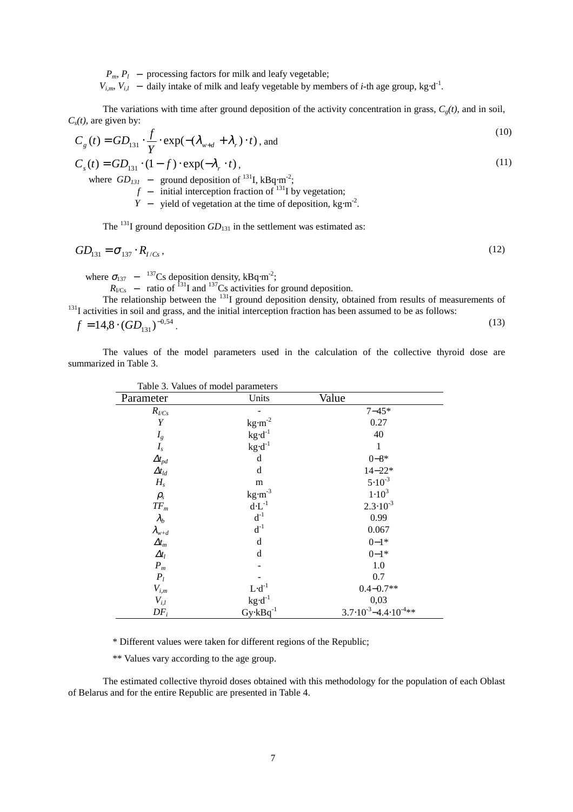*P<sub>m</sub>*, *P*<sub>*l*</sub> − processing factors for milk and leafy vegetable;

 $V_{i,m}$ ,  $V_{i,l}$  – daily intake of milk and leafy vegetable by members of *i*-th age group, kg⋅d<sup>-1</sup>.

The variations with time after ground deposition of the activity concentration in grass,  $C_g(t)$ , and in soil, *Cs(t),* are given by:  $(10)$ 

$$
C_g(t) = GD_{131} \cdot \frac{f}{Y} \cdot \exp(-( \lambda_{w+d} + \lambda_r) \cdot t), \text{ and}
$$
 (10)

$$
C_s(t) = GD_{131} \cdot (1 - f) \cdot \exp(-\lambda_r \cdot t),
$$
  
where  $GD_{131}$  – ground deposition of <sup>131</sup>I, kBq·m<sup>-2</sup>;  
 $f$  – initial intersection fraction of <sup>131</sup>I by vegetation;  
 $Y$  – yield of vegetation at the time of deposition, kg·m<sup>-2</sup>.

The <sup>131</sup>I ground deposition  $GD_{131}$  in the settlement was estimated as:

$$
GD_{131} = \sigma_{137} \cdot R_{I/Cs},\tag{12}
$$

where  $\sigma_{137}$  –  $^{137}$ Cs deposition density, kBq⋅m<sup>-2</sup>;

 $R_{\text{ICs}}$  – ratio of <sup>131</sup>I and <sup>137</sup>Cs activities for ground deposition.

The relationship between the <sup>131</sup>I ground deposition density, obtained from results of measurements of <sup>131</sup>I activities in soil and grass, and the initial interception fraction has been assumed to be as follows:

 $f = 14.8 \cdot (GD_{131})^{-0.54}$ . (13)

The values of the model parameters used in the calculation of the collective thyroid dose are summarized in Table 3.

|                    | Table 3. Values of model parameters         |                                            |
|--------------------|---------------------------------------------|--------------------------------------------|
| Parameter          | Units                                       | Value                                      |
| $R_{\text{UCS}}$   |                                             | $7 - 45*$                                  |
| Y                  | $\text{kg}\!\cdot\!\text{m}^{\text{-2}}$    | 0.27                                       |
| $I_g$              | $\text{kg}\!\cdot\!\text{d}^{\text{-1}}$    | 40                                         |
| $I_s$              | $\text{kg}\!\cdot\!\text{d}^{\text{-1}}$    | $\mathbf{1}$                               |
| $\Delta t_{pd}$    | d                                           | $0 - 8*$                                   |
| $\Delta t_{ld}$    | d                                           | $14 - 22*$                                 |
| $H_s$              | m                                           | $5.10^{-3}$                                |
| $\rho_{s}$         | $kg·m-3$                                    | $1.10^{3}$                                 |
| $TF_m$             | $\mathrm{d}\!\cdot\!\mathrm{L}^{\text{-}1}$ | $2.3 \cdot 10^{-3}$                        |
| $\lambda_{b}$      | $d^{-1}$                                    | 0.99                                       |
| $\lambda_{w+d}$    | $d^{-1}$                                    | 0.067                                      |
| $\varDelta t_m$    | d                                           | $0 - 1*$                                   |
| $\Delta t_l$       | d                                           | $0 - 1*$                                   |
| $\boldsymbol{P}_m$ |                                             | 1.0                                        |
| $P_l$              |                                             | 0.7                                        |
| $V_{i,m}$          | $L \cdot d^{-1}$                            | $0.4 - 0.7**$                              |
| $V_{i,l}$          | $kg \cdot d^{-1}$                           | 0,03                                       |
| $DF_i$             | $Gy$ · $kBq^{-1}$                           | $3.7 \cdot 10^{-3} - 4.4 \cdot 10^{-4}$ ** |

\* Different values were taken for different regions of the Republic;

\*\* Values vary according to the age group.

The estimated collective thyroid doses obtained with this methodology for the population of each Oblast of Belarus and for the entire Republic are presented in Table 4.